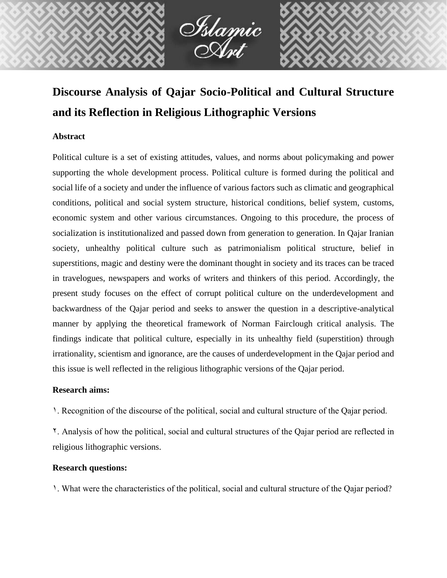

# **Discourse Analysis of Qajar Socio-Political and Cultural Structure and its Reflection in Religious Lithographic Versions**

# **Abstract**

Political culture is a set of existing attitudes, values, and norms about policymaking and power supporting the whole development process. Political culture is formed during the political and social life of a society and under the influence of various factors such as climatic and geographical conditions, political and social system structure, historical conditions, belief system, customs, economic system and other various circumstances. Ongoing to this procedure, the process of socialization is institutionalized and passed down from generation to generation. In Qajar Iranian society, unhealthy political culture such as patrimonialism political structure, belief in superstitions, magic and destiny were the dominant thought in society and its traces can be traced in travelogues, newspapers and works of writers and thinkers of this period. Accordingly, the present study focuses on the effect of corrupt political culture on the underdevelopment and backwardness of the Qajar period and seeks to answer the question in a descriptive-analytical manner by applying the theoretical framework of Norman Fairclough critical analysis. The findings indicate that political culture, especially in its unhealthy field (superstition) through irrationality, scientism and ignorance, are the causes of underdevelopment in the Qajar period and this issue is well reflected in the religious lithographic versions of the Qajar period.

### **Research aims:**

1. Recognition of the discourse of the political, social and cultural structure of the Qajar period.

2. Analysis of how the political, social and cultural structures of the Qajar period are reflected in religious lithographic versions.

#### **Research questions:**

1. What were the characteristics of the political, social and cultural structure of the Qajar period?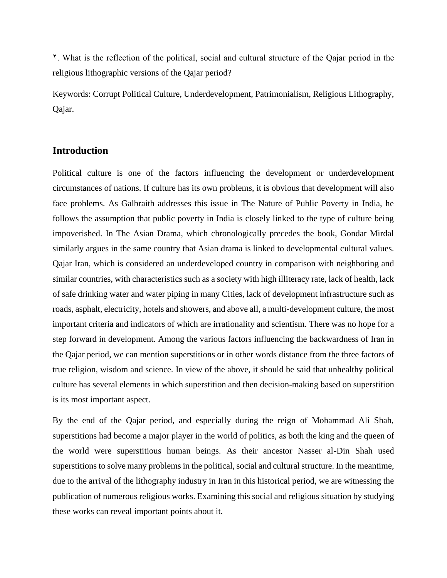2. What is the reflection of the political, social and cultural structure of the Qajar period in the religious lithographic versions of the Qajar period?

Keywords: Corrupt Political Culture, Underdevelopment, Patrimonialism, Religious Lithography, Qajar.

# **Introduction**

Political culture is one of the factors influencing the development or underdevelopment circumstances of nations. If culture has its own problems, it is obvious that development will also face problems. As Galbraith addresses this issue in The Nature of Public Poverty in India, he follows the assumption that public poverty in India is closely linked to the type of culture being impoverished. In The Asian Drama, which chronologically precedes the book, Gondar Mirdal similarly argues in the same country that Asian drama is linked to developmental cultural values. Qajar Iran, which is considered an underdeveloped country in comparison with neighboring and similar countries, with characteristics such as a society with high illiteracy rate, lack of health, lack of safe drinking water and water piping in many Cities, lack of development infrastructure such as roads, asphalt, electricity, hotels and showers, and above all, a multi-development culture, the most important criteria and indicators of which are irrationality and scientism. There was no hope for a step forward in development. Among the various factors influencing the backwardness of Iran in the Qajar period, we can mention superstitions or in other words distance from the three factors of true religion, wisdom and science. In view of the above, it should be said that unhealthy political culture has several elements in which superstition and then decision-making based on superstition is its most important aspect.

By the end of the Qajar period, and especially during the reign of Mohammad Ali Shah, superstitions had become a major player in the world of politics, as both the king and the queen of the world were superstitious human beings. As their ancestor Nasser al-Din Shah used superstitions to solve many problems in the political, social and cultural structure. In the meantime, due to the arrival of the lithography industry in Iran in this historical period, we are witnessing the publication of numerous religious works. Examining this social and religious situation by studying these works can reveal important points about it.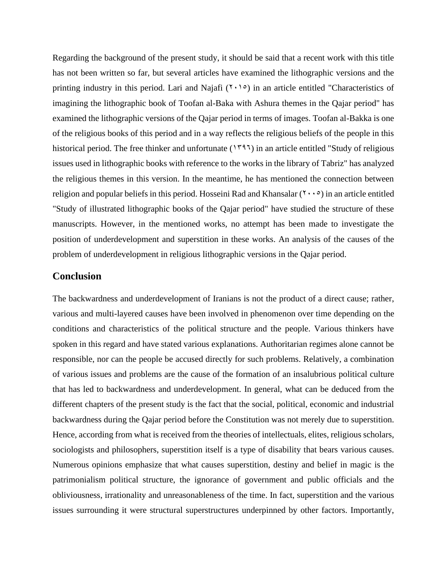Regarding the background of the present study, it should be said that a recent work with this title has not been written so far, but several articles have examined the lithographic versions and the printing industry in this period. Lari and Najafi  $(1 \cdot 1)$  in an article entitled "Characteristics of imagining the lithographic book of Toofan al-Baka with Ashura themes in the Qajar period" has examined the lithographic versions of the Qajar period in terms of images. Toofan al-Bakka is one of the religious books of this period and in a way reflects the religious beliefs of the people in this historical period. The free thinker and unfortunate  $(1797)$  in an article entitled "Study of religious issues used in lithographic books with reference to the works in the library of Tabriz" has analyzed the religious themes in this version. In the meantime, he has mentioned the connection between religion and popular beliefs in this period. Hosseini Rad and Khansalar  $(7 \cdot \cdot \circ)$  in an article entitled "Study of illustrated lithographic books of the Qajar period" have studied the structure of these manuscripts. However, in the mentioned works, no attempt has been made to investigate the position of underdevelopment and superstition in these works. An analysis of the causes of the problem of underdevelopment in religious lithographic versions in the Qajar period.

### **Conclusion**

The backwardness and underdevelopment of Iranians is not the product of a direct cause; rather, various and multi-layered causes have been involved in phenomenon over time depending on the conditions and characteristics of the political structure and the people. Various thinkers have spoken in this regard and have stated various explanations. Authoritarian regimes alone cannot be responsible, nor can the people be accused directly for such problems. Relatively, a combination of various issues and problems are the cause of the formation of an insalubrious political culture that has led to backwardness and underdevelopment. In general, what can be deduced from the different chapters of the present study is the fact that the social, political, economic and industrial backwardness during the Qajar period before the Constitution was not merely due to superstition. Hence, according from what is received from the theories of intellectuals, elites, religious scholars, sociologists and philosophers, superstition itself is a type of disability that bears various causes. Numerous opinions emphasize that what causes superstition, destiny and belief in magic is the patrimonialism political structure, the ignorance of government and public officials and the obliviousness, irrationality and unreasonableness of the time. In fact, superstition and the various issues surrounding it were structural superstructures underpinned by other factors. Importantly,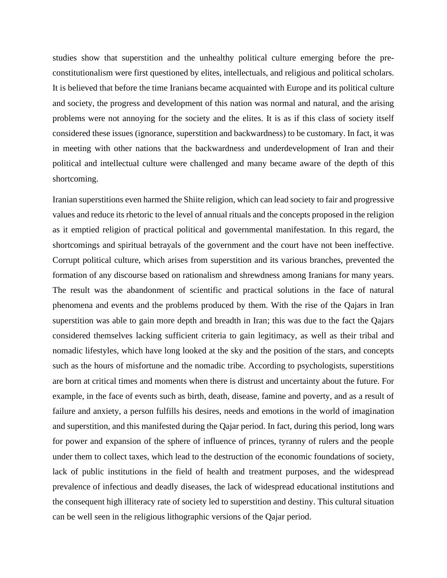studies show that superstition and the unhealthy political culture emerging before the preconstitutionalism were first questioned by elites, intellectuals, and religious and political scholars. It is believed that before the time Iranians became acquainted with Europe and its political culture and society, the progress and development of this nation was normal and natural, and the arising problems were not annoying for the society and the elites. It is as if this class of society itself considered these issues (ignorance, superstition and backwardness) to be customary. In fact, it was in meeting with other nations that the backwardness and underdevelopment of Iran and their political and intellectual culture were challenged and many became aware of the depth of this shortcoming.

Iranian superstitions even harmed the Shiite religion, which can lead society to fair and progressive values and reduce its rhetoric to the level of annual rituals and the concepts proposed in the religion as it emptied religion of practical political and governmental manifestation. In this regard, the shortcomings and spiritual betrayals of the government and the court have not been ineffective. Corrupt political culture, which arises from superstition and its various branches, prevented the formation of any discourse based on rationalism and shrewdness among Iranians for many years. The result was the abandonment of scientific and practical solutions in the face of natural phenomena and events and the problems produced by them. With the rise of the Qajars in Iran superstition was able to gain more depth and breadth in Iran; this was due to the fact the Qajars considered themselves lacking sufficient criteria to gain legitimacy, as well as their tribal and nomadic lifestyles, which have long looked at the sky and the position of the stars, and concepts such as the hours of misfortune and the nomadic tribe. According to psychologists, superstitions are born at critical times and moments when there is distrust and uncertainty about the future. For example, in the face of events such as birth, death, disease, famine and poverty, and as a result of failure and anxiety, a person fulfills his desires, needs and emotions in the world of imagination and superstition, and this manifested during the Qajar period. In fact, during this period, long wars for power and expansion of the sphere of influence of princes, tyranny of rulers and the people under them to collect taxes, which lead to the destruction of the economic foundations of society, lack of public institutions in the field of health and treatment purposes, and the widespread prevalence of infectious and deadly diseases, the lack of widespread educational institutions and the consequent high illiteracy rate of society led to superstition and destiny. This cultural situation can be well seen in the religious lithographic versions of the Qajar period.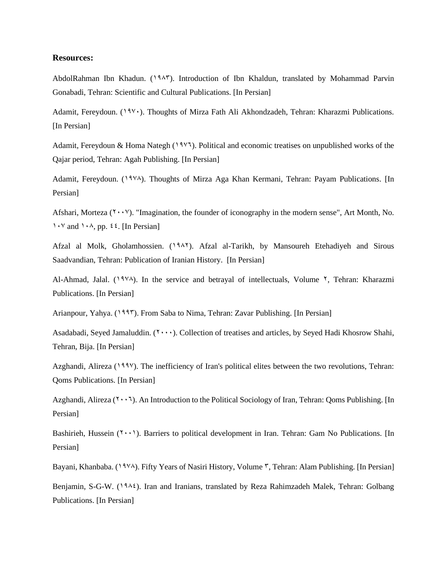#### **Resources:**

AbdolRahman Ibn Khadun. (1983). Introduction of Ibn Khaldun, translated by Mohammad Parvin Gonabadi, Tehran: Scientific and Cultural Publications. [In Persian]

Adamit, Fereydoun. (1976). Thoughts of Mirza Fath Ali Akhondzadeh, Tehran: Kharazmi Publications. [In Persian]

Adamit, Fereydoun & Homa Nategh  $(198)$ . Political and economic treatises on unpublished works of the Qajar period, Tehran: Agah Publishing. [In Persian]

Adamit, Fereydoun. (1978). Thoughts of Mirza Aga Khan Kermani, Tehran: Payam Publications. [In Persian]

Afshari, Morteza  $(1 \cdot \cdot \cdot)$ . "Imagination, the founder of iconography in the modern sense", Art Month, No. 1.  $\forall$  and 1. A, pp.  $\forall$  4. [In Persian]

Afzal al Molk, Gholamhossien. (1982). Afzal al-Tarikh, by Mansoureh Etehadiyeh and Sirous Saadvandian, Tehran: Publication of Iranian History. [In Persian]

Al-Ahmad, Jalal. (1978). In the service and betrayal of intellectuals, Volume  $\lambda$ , Tehran: Kharazmi Publications. [In Persian]

Arianpour, Yahya. (1995). From Saba to Nima, Tehran: Zavar Publishing. [In Persian]

Asadabadi, Seyed Jamaluddin. (Y.v., Collection of treatises and articles, by Seyed Hadi Khosrow Shahi, Tehran, Bija. [In Persian]

Azghandi, Alireza (1997). The inefficiency of Iran's political elites between the two revolutions, Tehran: Qoms Publications. [In Persian]

Azghandi, Alireza  $(2 \cdot \cdot)$ . An Introduction to the Political Sociology of Iran, Tehran: Ooms Publishing. [In Persian]

Bashirieh, Hussein  $(1 \cdot \cdot)$ . Barriers to political development in Iran. Tehran: Gam No Publications. [In Persian]

Bayani, Khanbaba. (1974). Fifty Years of Nasiri History, Volume  $\tilde{v}$ , Tehran: Alam Publishing. [In Persian]

Benjamin, S-G-W. (1984). Iran and Iranians, translated by Reza Rahimzadeh Malek, Tehran: Golbang Publications. [In Persian]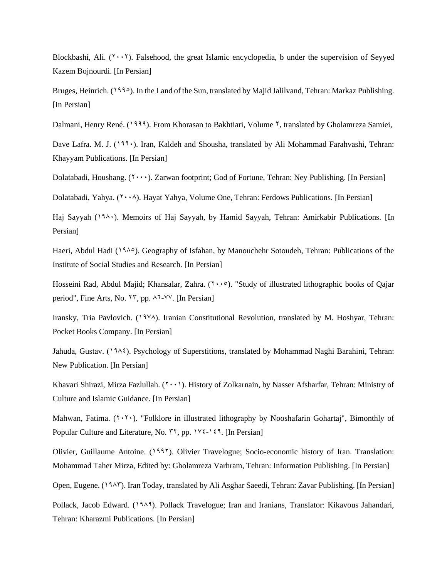Blockbashi, Ali.  $(1, 1)$ . Falsehood, the great Islamic encyclopedia, b under the supervision of Seyyed Kazem Bojnourdi. [In Persian]

Bruges, Heinrich. (1990). In the Land of the Sun, translated by Majid Jalilvand, Tehran: Markaz Publishing. [In Persian]

Dalmani, Henry René. (1999). From Khorasan to Bakhtiari, Volume <sup>Y</sup>, translated by Gholamreza Samiei,

Dave Lafra. M. J.  $(199)$ . Iran, Kaldeh and Shousha, translated by Ali Mohammad Farahvashi, Tehran: Khayyam Publications. [In Persian]

Dolatabadi, Houshang. (Y ...). Zarwan footprint; God of Fortune, Tehran: Ney Publishing. [In Persian]

Dolatabadi, Yahya.  $(2\cdot \cdot \cdot)$ . Hayat Yahya, Volume One, Tehran: Ferdows Publications. [In Persian]

Haj Sayyah (1980). Memoirs of Haj Sayyah, by Hamid Sayyah, Tehran: Amirkabir Publications. [In Persian]

Haeri, Abdul Hadi (1986). Geography of Isfahan, by Manouchehr Sotoudeh, Tehran: Publications of the Institute of Social Studies and Research. [In Persian]

Hosseini Rad, Abdul Majid; Khansalar, Zahra. (7000). "Study of illustrated lithographic books of Qajar period", Fine Arts, No.  $\forall \, \check{y}$ , pp.  $\forall \exists \forall \forall$ . [In Persian]

Iransky, Tria Pavlovich. (1978). Iranian Constitutional Revolution, translated by M. Hoshyar, Tehran: Pocket Books Company. [In Persian]

Jahuda, Gustav. (1984). Psychology of Superstitions, translated by Mohammad Naghi Barahini, Tehran: New Publication. [In Persian]

Khavari Shirazi, Mirza Fazlullah. (<sup>1</sup>001). History of Zolkarnain, by Nasser Afsharfar, Tehran: Ministry of Culture and Islamic Guidance. [In Persian]

Mahwan, Fatima.  $(\Upsilon, \Upsilon)$ . "Folklore in illustrated lithography by Nooshafarin Gohartaj", Bimonthly of Popular Culture and Literature, No.  $\mathsf{r}_{\mathsf{r}}$ , pp.  $\mathsf{v}_{\mathsf{t}}$ -149. [In Persian]

Olivier, Guillaume Antoine. (1992). Olivier Travelogue; Socio-economic history of Iran. Translation: Mohammad Taher Mirza, Edited by: Gholamreza Varhram, Tehran: Information Publishing. [In Persian]

Open, Eugene. (1945). Iran Today, translated by Ali Asghar Saeedi, Tehran: Zavar Publishing. [In Persian]

Pollack, Jacob Edward. (1989). Pollack Travelogue; Iran and Iranians, Translator: Kikavous Jahandari, Tehran: Kharazmi Publications. [In Persian]